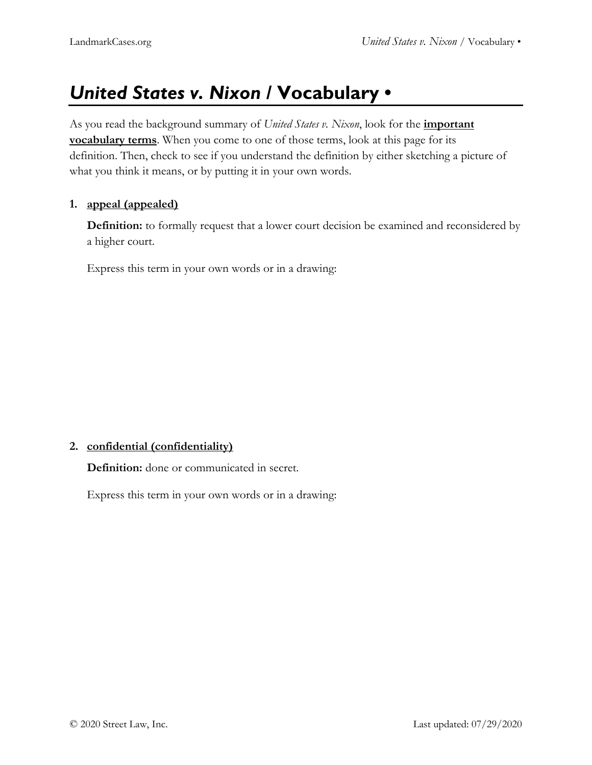# *United States v. Nixon* **/ Vocabulary •**

As you read the background summary of *United States v. Nixon*, look for the **important vocabulary terms**. When you come to one of those terms, look at this page for its definition. Then, check to see if you understand the definition by either sketching a picture of what you think it means, or by putting it in your own words.

### **1. appeal (appealed)**

**Definition:** to formally request that a lower court decision be examined and reconsidered by a higher court.

Express this term in your own words or in a drawing:

# **2. confidential (confidentiality)**

**Definition:** done or communicated in secret.

Express this term in your own words or in a drawing: